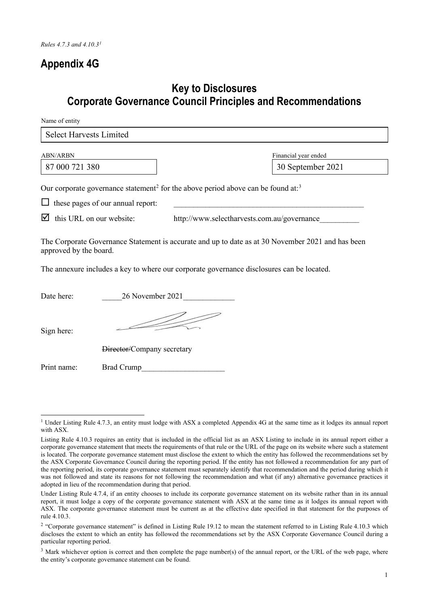### **Appendix 4G**

### **Key to Disclosures Corporate Governance Council Principles and Recommendations**

Name of entity

| <b>Select Harvests Limited</b>                                                                                                                                                                                                     |                                           |  |
|------------------------------------------------------------------------------------------------------------------------------------------------------------------------------------------------------------------------------------|-------------------------------------------|--|
| <b>ABN/ARBN</b><br>87 000 721 380                                                                                                                                                                                                  | Financial year ended<br>30 September 2021 |  |
| Our corporate governance statement <sup>2</sup> for the above period above can be found at: <sup>3</sup><br>these pages of our annual report:<br>ப<br>this URL on our website:<br>M<br>http://www.selectharvests.com.au/governance |                                           |  |
| The Corporate Governance Statement is accurate and up to date as at 30 November 2021 and has been<br>approved by the board.<br>The annexure includes a key to where our corporate governance disclosures can be located.           |                                           |  |

| Date here:  | 26 November 2021           |
|-------------|----------------------------|
| Sign here:  |                            |
|             | Director/Company secretary |
| Print name: | <b>Brad Crump</b>          |

<span id="page-0-0"></span><sup>&</sup>lt;sup>1</sup> Under Listing Rule 4.7.3, an entity must lodge with ASX a completed Appendix 4G at the same time as it lodges its annual report with ASX.

Listing Rule 4.10.3 requires an entity that is included in the official list as an ASX Listing to include in its annual report either a corporate governance statement that meets the requirements of that rule or the URL of the page on its website where such a statement is located. The corporate governance statement must disclose the extent to which the entity has followed the recommendations set by the ASX Corporate Governance Council during the reporting period. If the entity has not followed a recommendation for any part of the reporting period, its corporate governance statement must separately identify that recommendation and the period during which it was not followed and state its reasons for not following the recommendation and what (if any) alternative governance practices it adopted in lieu of the recommendation during that period.

Under Listing Rule 4.7.4, if an entity chooses to include its corporate governance statement on its website rather than in its annual report, it must lodge a copy of the corporate governance statement with ASX at the same time as it lodges its annual report with ASX. The corporate governance statement must be current as at the effective date specified in that statement for the purposes of rule 4.10.3.

<span id="page-0-1"></span><sup>&</sup>lt;sup>2</sup> "Corporate governance statement" is defined in Listing Rule 19.12 to mean the statement referred to in Listing Rule 4.10.3 which discloses the extent to which an entity has followed the recommendations set by the ASX Corporate Governance Council during a particular reporting period.

<span id="page-0-2"></span><sup>&</sup>lt;sup>3</sup> Mark whichever option is correct and then complete the page number(s) of the annual report, or the URL of the web page, where the entity's corporate governance statement can be found.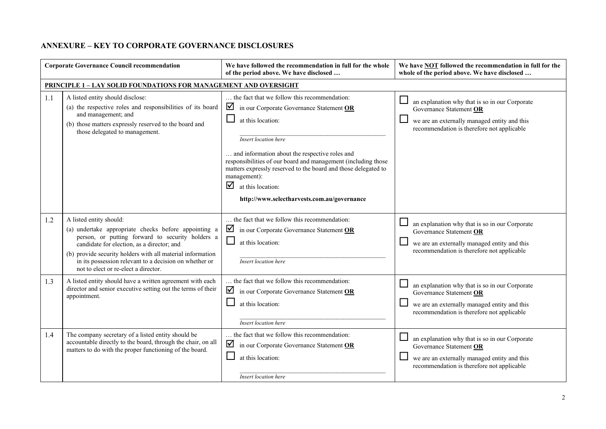#### **ANNEXURE – KEY TO CORPORATE GOVERNANCE DISCLOSURES**

|     | <b>Corporate Governance Council recommendation</b>                                                                                                                                                                                                                                                                                                | We have followed the recommendation in full for the whole<br>of the period above. We have disclosed                                                                                                                                                                                                                                                                                                                      | We have <b>NOT</b> followed the recommendation in full for the<br>whole of the period above. We have disclosed                                                                    |
|-----|---------------------------------------------------------------------------------------------------------------------------------------------------------------------------------------------------------------------------------------------------------------------------------------------------------------------------------------------------|--------------------------------------------------------------------------------------------------------------------------------------------------------------------------------------------------------------------------------------------------------------------------------------------------------------------------------------------------------------------------------------------------------------------------|-----------------------------------------------------------------------------------------------------------------------------------------------------------------------------------|
|     | <b>PRINCIPLE 1-LAY SOLID FOUNDATIONS FOR MANAGEMENT AND OVERSIGHT</b>                                                                                                                                                                                                                                                                             |                                                                                                                                                                                                                                                                                                                                                                                                                          |                                                                                                                                                                                   |
| 1.1 | A listed entity should disclose:<br>(a) the respective roles and responsibilities of its board<br>and management; and<br>(b) those matters expressly reserved to the board and<br>those delegated to management.                                                                                                                                  | the fact that we follow this recommendation:<br>☑<br>in our Corporate Governance Statement OR<br>at this location:<br>Insert location here<br>and information about the respective roles and<br>responsibilities of our board and management (including those<br>matters expressly reserved to the board and those delegated to<br>management):<br>☑<br>at this location:<br>http://www.selectharvests.com.au/governance | ⊔<br>an explanation why that is so in our Corporate<br>Governance Statement OR<br>we are an externally managed entity and this<br>recommendation is therefore not applicable      |
| 1.2 | A listed entity should:<br>(a) undertake appropriate checks before appointing a<br>person, or putting forward to security holders a<br>candidate for election, as a director; and<br>(b) provide security holders with all material information<br>in its possession relevant to a decision on whether or<br>not to elect or re-elect a director. | the fact that we follow this recommendation:<br>☑<br>in our Corporate Governance Statement OR<br>$\Box$<br>at this location:<br>Insert location here                                                                                                                                                                                                                                                                     | an explanation why that is so in our Corporate<br>Governance Statement OR<br>we are an externally managed entity and this<br>recommendation is therefore not applicable           |
| 1.3 | A listed entity should have a written agreement with each<br>director and senior executive setting out the terms of their<br>appointment.                                                                                                                                                                                                         | the fact that we follow this recommendation:<br>☑<br>in our Corporate Governance Statement OR<br>at this location:<br>Insert location here                                                                                                                                                                                                                                                                               | an explanation why that is so in our Corporate<br>Governance Statement OR<br>we are an externally managed entity and this<br>recommendation is therefore not applicable           |
| 1.4 | The company secretary of a listed entity should be<br>accountable directly to the board, through the chair, on all<br>matters to do with the proper functioning of the board.                                                                                                                                                                     | the fact that we follow this recommendation:<br>☑<br>in our Corporate Governance Statement OR<br>at this location:<br>Insert location here                                                                                                                                                                                                                                                                               | $\Box$<br>an explanation why that is so in our Corporate<br>Governance Statement OR<br>we are an externally managed entity and this<br>recommendation is therefore not applicable |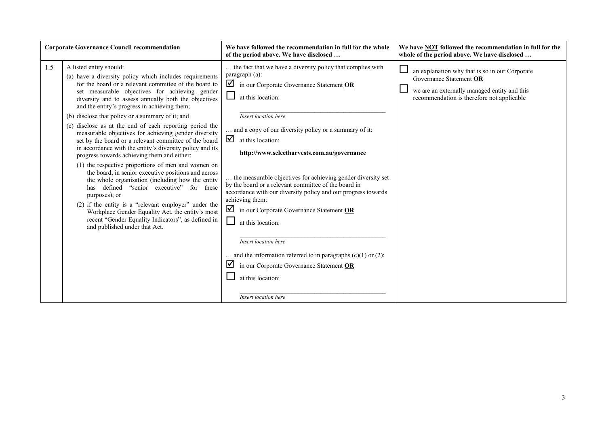|     | <b>Corporate Governance Council recommendation</b>                                                                                                                                                                                                                                                                                                                                                                                                                                                                                                                                                                                                                                                                                                                                                                                                                                                                                                                                                                                                                                  | We have followed the recommendation in full for the whole<br>of the period above. We have disclosed                                                                                                                                                                                                                                                                                                                                                                                                                                                                                                                                     | We have <b>NOT</b> followed the recommendation in full for the<br>whole of the period above. We have disclosed                                                                                                        |
|-----|-------------------------------------------------------------------------------------------------------------------------------------------------------------------------------------------------------------------------------------------------------------------------------------------------------------------------------------------------------------------------------------------------------------------------------------------------------------------------------------------------------------------------------------------------------------------------------------------------------------------------------------------------------------------------------------------------------------------------------------------------------------------------------------------------------------------------------------------------------------------------------------------------------------------------------------------------------------------------------------------------------------------------------------------------------------------------------------|-----------------------------------------------------------------------------------------------------------------------------------------------------------------------------------------------------------------------------------------------------------------------------------------------------------------------------------------------------------------------------------------------------------------------------------------------------------------------------------------------------------------------------------------------------------------------------------------------------------------------------------------|-----------------------------------------------------------------------------------------------------------------------------------------------------------------------------------------------------------------------|
| 1.5 | A listed entity should:<br>(a) have a diversity policy which includes requirements<br>for the board or a relevant committee of the board to<br>set measurable objectives for achieving gender<br>diversity and to assess annually both the objectives<br>and the entity's progress in achieving them;<br>(b) disclose that policy or a summary of it; and<br>(c) disclose as at the end of each reporting period the<br>measurable objectives for achieving gender diversity<br>set by the board or a relevant committee of the board<br>in accordance with the entity's diversity policy and its<br>progress towards achieving them and either:<br>(1) the respective proportions of men and women on<br>the board, in senior executive positions and across<br>the whole organisation (including how the entity<br>has defined "senior executive" for these<br>purposes); or<br>$(2)$ if the entity is a "relevant employer" under the<br>Workplace Gender Equality Act, the entity's most<br>recent "Gender Equality Indicators", as defined in<br>and published under that Act. | the fact that we have a diversity policy that complies with<br>paragraph (a):<br>☑<br>in our Corporate Governance Statement OR<br>$\Box$<br>at this location:<br>Insert location here<br>and a copy of our diversity policy or a summary of it:<br>$\overline{\mathbf{y}}$ at this location:<br>http://www.selectharvests.com.au/governance<br>the measurable objectives for achieving gender diversity set<br>by the board or a relevant committee of the board in<br>accordance with our diversity policy and our progress towards<br>achieving them:<br>☑<br>in our Corporate Governance Statement OR<br>$\Box$<br>at this location: | $\mathbb{R}^n$<br>an explanation why that is so in our Corporate<br>Governance Statement OR<br>$\overline{\phantom{a}}$<br>we are an externally managed entity and this<br>recommendation is therefore not applicable |
|     |                                                                                                                                                                                                                                                                                                                                                                                                                                                                                                                                                                                                                                                                                                                                                                                                                                                                                                                                                                                                                                                                                     | Insert location here<br>and the information referred to in paragraphs $(c)(1)$ or $(2)$ :<br>☑<br>in our Corporate Governance Statement OR<br>at this location:<br>Insert location here                                                                                                                                                                                                                                                                                                                                                                                                                                                 |                                                                                                                                                                                                                       |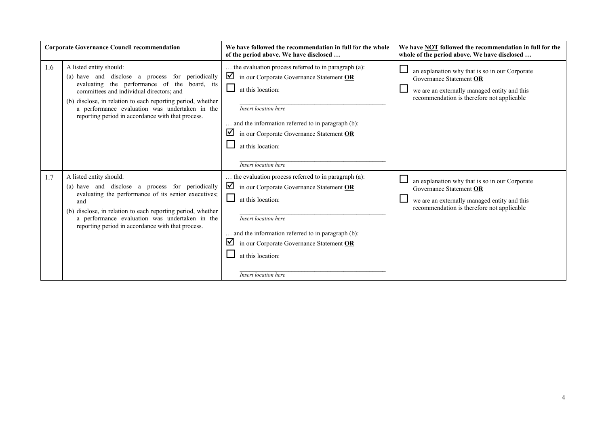|     | <b>Corporate Governance Council recommendation</b>                                                                                                                                                                                                                                                                                            | We have followed the recommendation in full for the whole<br>of the period above. We have disclosed                                                                                                                                                                                                        | We have NOT followed the recommendation in full for the<br>whole of the period above. We have disclosed                                                                 |
|-----|-----------------------------------------------------------------------------------------------------------------------------------------------------------------------------------------------------------------------------------------------------------------------------------------------------------------------------------------------|------------------------------------------------------------------------------------------------------------------------------------------------------------------------------------------------------------------------------------------------------------------------------------------------------------|-------------------------------------------------------------------------------------------------------------------------------------------------------------------------|
| 1.6 | A listed entity should:<br>(a) have and disclose a process for periodically<br>evaluating the performance of the board, its<br>committees and individual directors; and<br>(b) disclose, in relation to each reporting period, whether<br>a performance evaluation was undertaken in the<br>reporting period in accordance with that process. | the evaluation process referred to in paragraph (a):<br>☑<br>in our Corporate Governance Statement OR<br>ப<br>at this location:<br>Insert location here<br>and the information referred to in paragraph (b):<br>☑<br>in our Corporate Governance Statement OR<br>at this location:<br>Insert location here | an explanation why that is so in our Corporate<br>Governance Statement OR<br>we are an externally managed entity and this<br>recommendation is therefore not applicable |
| 1.7 | A listed entity should:<br>(a) have and disclose a process for periodically<br>evaluating the performance of its senior executives;<br>and<br>(b) disclose, in relation to each reporting period, whether<br>a performance evaluation was undertaken in the<br>reporting period in accordance with that process.                              | the evaluation process referred to in paragraph (a):<br>☑<br>in our Corporate Governance Statement OR<br>ப<br>at this location:<br>Insert location here<br>and the information referred to in paragraph (b):<br>☑<br>in our Corporate Governance Statement OR<br>at this location:<br>Insert location here | an explanation why that is so in our Corporate<br>Governance Statement OR<br>we are an externally managed entity and this<br>recommendation is therefore not applicable |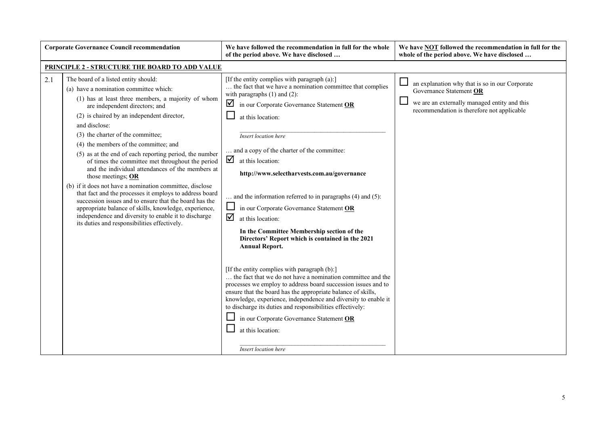|     | <b>Corporate Governance Council recommendation</b>                                                                                                                                                                                                                                                                                                                                                                                                                                                                                                                                                                                                                                                                                                                                                                                                            | We have followed the recommendation in full for the whole<br>of the period above. We have disclosed                                                                                                                                                                                                                                                                                                                                                                                                                                                                                                                                                                                                                                                                                                                                                                                                                                                                                                                                                                                       | We have <b>NOT</b> followed the recommendation in full for the<br>whole of the period above. We have disclosed                                                          |
|-----|---------------------------------------------------------------------------------------------------------------------------------------------------------------------------------------------------------------------------------------------------------------------------------------------------------------------------------------------------------------------------------------------------------------------------------------------------------------------------------------------------------------------------------------------------------------------------------------------------------------------------------------------------------------------------------------------------------------------------------------------------------------------------------------------------------------------------------------------------------------|-------------------------------------------------------------------------------------------------------------------------------------------------------------------------------------------------------------------------------------------------------------------------------------------------------------------------------------------------------------------------------------------------------------------------------------------------------------------------------------------------------------------------------------------------------------------------------------------------------------------------------------------------------------------------------------------------------------------------------------------------------------------------------------------------------------------------------------------------------------------------------------------------------------------------------------------------------------------------------------------------------------------------------------------------------------------------------------------|-------------------------------------------------------------------------------------------------------------------------------------------------------------------------|
|     | PRINCIPLE 2 - STRUCTURE THE BOARD TO ADD VALUE                                                                                                                                                                                                                                                                                                                                                                                                                                                                                                                                                                                                                                                                                                                                                                                                                |                                                                                                                                                                                                                                                                                                                                                                                                                                                                                                                                                                                                                                                                                                                                                                                                                                                                                                                                                                                                                                                                                           |                                                                                                                                                                         |
| 2.1 | The board of a listed entity should:<br>(a) have a nomination committee which:<br>(1) has at least three members, a majority of whom<br>are independent directors; and<br>(2) is chaired by an independent director,<br>and disclose:<br>(3) the charter of the committee;<br>(4) the members of the committee; and<br>(5) as at the end of each reporting period, the number<br>of times the committee met throughout the period<br>and the individual attendances of the members at<br>those meetings; OR<br>(b) if it does not have a nomination committee, disclose<br>that fact and the processes it employs to address board<br>succession issues and to ensure that the board has the<br>appropriate balance of skills, knowledge, experience,<br>independence and diversity to enable it to discharge<br>its duties and responsibilities effectively. | [If the entity complies with paragraph (a):]<br>the fact that we have a nomination committee that complies<br>with paragraphs $(1)$ and $(2)$ :<br>☑<br>in our Corporate Governance Statement OR<br>at this location:<br>Insert location here<br>and a copy of the charter of the committee:<br>☑<br>at this location:<br>http://www.selectharvests.com.au/governance<br>and the information referred to in paragraphs (4) and (5):<br>in our Corporate Governance Statement OR<br>ப<br>☑<br>at this location:<br>In the Committee Membership section of the<br>Directors' Report which is contained in the 2021<br><b>Annual Report.</b><br>[If the entity complies with paragraph (b):]<br>the fact that we do not have a nomination committee and the<br>processes we employ to address board succession issues and to<br>ensure that the board has the appropriate balance of skills,<br>knowledge, experience, independence and diversity to enable it<br>to discharge its duties and responsibilities effectively:<br>in our Corporate Governance Statement OR<br>at this location: | an explanation why that is so in our Corporate<br>Governance Statement OR<br>we are an externally managed entity and this<br>recommendation is therefore not applicable |
|     |                                                                                                                                                                                                                                                                                                                                                                                                                                                                                                                                                                                                                                                                                                                                                                                                                                                               | Insert location here                                                                                                                                                                                                                                                                                                                                                                                                                                                                                                                                                                                                                                                                                                                                                                                                                                                                                                                                                                                                                                                                      |                                                                                                                                                                         |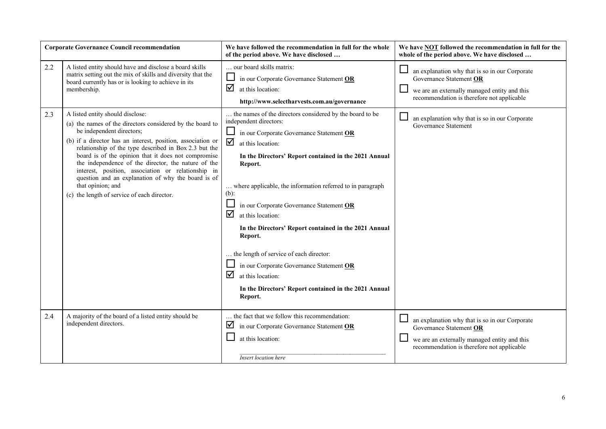| <b>Corporate Governance Council recommendation</b> |                                                                                                                                                                                                                                                                                                                                                                                                                                                                                                                                                  | We have followed the recommendation in full for the whole<br>of the period above. We have disclosed                                                                                                                                                                                                                                                                                                                                                                                                                                                                                                                                  | We have <b>NOT</b> followed the recommendation in full for the<br>whole of the period above. We have disclosed                                                          |
|----------------------------------------------------|--------------------------------------------------------------------------------------------------------------------------------------------------------------------------------------------------------------------------------------------------------------------------------------------------------------------------------------------------------------------------------------------------------------------------------------------------------------------------------------------------------------------------------------------------|--------------------------------------------------------------------------------------------------------------------------------------------------------------------------------------------------------------------------------------------------------------------------------------------------------------------------------------------------------------------------------------------------------------------------------------------------------------------------------------------------------------------------------------------------------------------------------------------------------------------------------------|-------------------------------------------------------------------------------------------------------------------------------------------------------------------------|
| 2.2                                                | A listed entity should have and disclose a board skills<br>matrix setting out the mix of skills and diversity that the<br>board currently has or is looking to achieve in its<br>membership.                                                                                                                                                                                                                                                                                                                                                     | our board skills matrix:<br>in our Corporate Governance Statement OR<br>☑<br>at this location:<br>http://www.selectharvests.com.au/governance                                                                                                                                                                                                                                                                                                                                                                                                                                                                                        | an explanation why that is so in our Corporate<br>Governance Statement OR<br>we are an externally managed entity and this<br>recommendation is therefore not applicable |
| 2.3                                                | A listed entity should disclose:<br>(a) the names of the directors considered by the board to<br>be independent directors;<br>(b) if a director has an interest, position, association or<br>relationship of the type described in Box 2.3 but the<br>board is of the opinion that it does not compromise<br>the independence of the director, the nature of the<br>interest, position, association or relationship in<br>question and an explanation of why the board is of<br>that opinion; and<br>(c) the length of service of each director. | the names of the directors considered by the board to be<br>independent directors:<br>in our Corporate Governance Statement OR<br>☑<br>at this location:<br>In the Directors' Report contained in the 2021 Annual<br>Report.<br>where applicable, the information referred to in paragraph<br>$(b)$ :<br>in our Corporate Governance Statement OR<br>☑<br>at this location:<br>In the Directors' Report contained in the 2021 Annual<br>Report.<br>the length of service of each director:<br>in our Corporate Governance Statement OR<br>☑<br>at this location:<br>In the Directors' Report contained in the 2021 Annual<br>Report. | an explanation why that is so in our Corporate<br>Governance Statement                                                                                                  |
| 2.4                                                | A majority of the board of a listed entity should be<br>independent directors.                                                                                                                                                                                                                                                                                                                                                                                                                                                                   | the fact that we follow this recommendation:<br>☑<br>in our Corporate Governance Statement OR<br>at this location:<br>Insert location here                                                                                                                                                                                                                                                                                                                                                                                                                                                                                           | an explanation why that is so in our Corporate<br>Governance Statement OR<br>we are an externally managed entity and this<br>recommendation is therefore not applicable |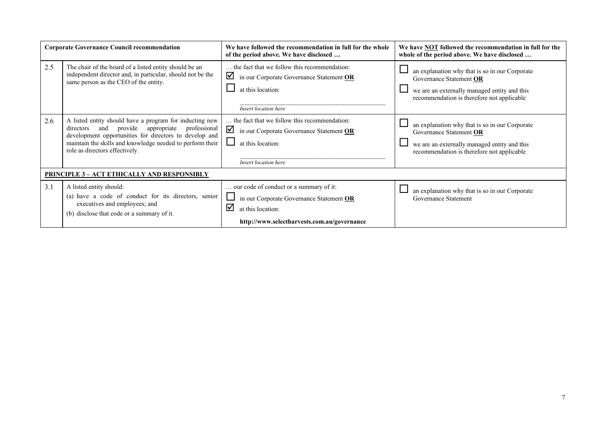|     | <b>Corporate Governance Council recommendation</b>                                                                                                                                                                                                                    | We have followed the recommendation in full for the whole<br>of the period above. We have disclosed                                                          | We have <b>NOT</b> followed the recommendation in full for the<br>whole of the period above. We have disclosed                                                          |  |
|-----|-----------------------------------------------------------------------------------------------------------------------------------------------------------------------------------------------------------------------------------------------------------------------|--------------------------------------------------------------------------------------------------------------------------------------------------------------|-------------------------------------------------------------------------------------------------------------------------------------------------------------------------|--|
| 2.5 | The chair of the board of a listed entity should be an<br>independent director and, in particular, should not be the<br>same person as the CEO of the entity.                                                                                                         | the fact that we follow this recommendation:<br>☑<br>in our Corporate Governance Statement OR<br>at this location:<br>Insert location here                   | an explanation why that is so in our Corporate<br>Governance Statement OR<br>we are an externally managed entity and this<br>recommendation is therefore not applicable |  |
| 2.6 | A listed entity should have a program for inducting new<br>directors and provide appropriate<br>professional<br>development opportunities for directors to develop and<br>maintain the skills and knowledge needed to perform their<br>role as directors effectively. | the fact that we follow this recommendation:<br>☑<br>in our Corporate Governance Statement OR<br>at this location:<br>Insert location here                   | an explanation why that is so in our Corporate<br>Governance Statement OR<br>we are an externally managed entity and this<br>recommendation is therefore not applicable |  |
|     | <u> PRINCIPLE 3 – ACT ETHICALLY AND RESPONSIBLY</u>                                                                                                                                                                                                                   |                                                                                                                                                              |                                                                                                                                                                         |  |
| 3.1 | A listed entity should:<br>(a) have a code of conduct for its directors, senior<br>executives and employees; and<br>(b) disclose that code or a summary of it.                                                                                                        | our code of conduct or a summary of it:<br>in our Corporate Governance Statement OR<br>⊠<br>at this location:<br>http://www.selectharvests.com.au/governance | an explanation why that is so in our Corporate<br>Governance Statement                                                                                                  |  |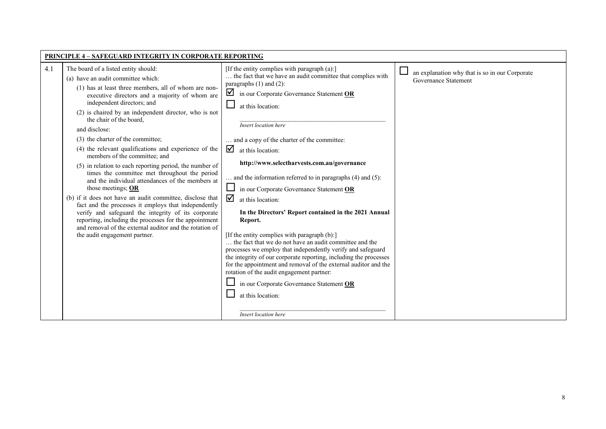| <b>PRINCIPLE 4 - SAFEGUARD INTEGRITY IN CORPORATE REPORTING</b>                                                                                                                                                                                                                                                                                                                                                                                                                                                                                                                                                                                                                                                                                                                                                                                                                                                                                                                         |                                                                                                                                                                                                                                                                                                                                                                                                                                                                                                                                                                                                                                                                                                                                                                                                                                                                                                                                                                                                                                            |                                                                        |
|-----------------------------------------------------------------------------------------------------------------------------------------------------------------------------------------------------------------------------------------------------------------------------------------------------------------------------------------------------------------------------------------------------------------------------------------------------------------------------------------------------------------------------------------------------------------------------------------------------------------------------------------------------------------------------------------------------------------------------------------------------------------------------------------------------------------------------------------------------------------------------------------------------------------------------------------------------------------------------------------|--------------------------------------------------------------------------------------------------------------------------------------------------------------------------------------------------------------------------------------------------------------------------------------------------------------------------------------------------------------------------------------------------------------------------------------------------------------------------------------------------------------------------------------------------------------------------------------------------------------------------------------------------------------------------------------------------------------------------------------------------------------------------------------------------------------------------------------------------------------------------------------------------------------------------------------------------------------------------------------------------------------------------------------------|------------------------------------------------------------------------|
| The board of a listed entity should:<br>4.1<br>(a) have an audit committee which:<br>(1) has at least three members, all of whom are non-<br>executive directors and a majority of whom are<br>independent directors; and<br>(2) is chaired by an independent director, who is not<br>the chair of the board,<br>and disclose:<br>(3) the charter of the committee;<br>(4) the relevant qualifications and experience of the<br>members of the committee; and<br>(5) in relation to each reporting period, the number of<br>times the committee met throughout the period<br>and the individual attendances of the members at<br>those meetings; $OR$<br>(b) if it does not have an audit committee, disclose that<br>fact and the processes it employs that independently<br>verify and safeguard the integrity of its corporate<br>reporting, including the processes for the appointment<br>and removal of the external auditor and the rotation of<br>the audit engagement partner. | [If the entity complies with paragraph (a):]<br>the fact that we have an audit committee that complies with<br>paragraphs $(1)$ and $(2)$ :<br>$\Box$ in our Corporate Governance Statement OR<br>at this location:<br>Insert location here<br>and a copy of the charter of the committee:<br>☑<br>at this location:<br>http://www.selectharvests.com.au/governance<br>. and the information referred to in paragraphs $(4)$ and $(5)$ :<br>in our Corporate Governance Statement OR<br>☑<br>at this location:<br>In the Directors' Report contained in the 2021 Annual<br>Report.<br>[If the entity complies with paragraph (b):]<br>the fact that we do not have an audit committee and the<br>processes we employ that independently verify and safeguard<br>the integrity of our corporate reporting, including the processes<br>for the appointment and removal of the external auditor and the<br>rotation of the audit engagement partner:<br>in our Corporate Governance Statement OR<br>at this location:<br>Insert location here | an explanation why that is so in our Corporate<br>Governance Statement |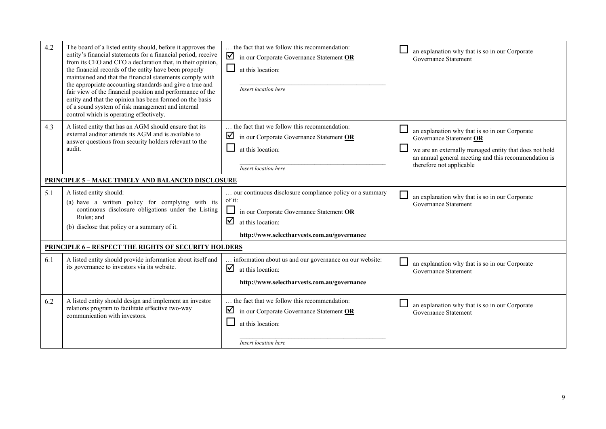| 4.2 | The board of a listed entity should, before it approves the<br>entity's financial statements for a financial period, receive<br>from its CEO and CFO a declaration that, in their opinion,<br>the financial records of the entity have been properly<br>maintained and that the financial statements comply with<br>the appropriate accounting standards and give a true and<br>fair view of the financial position and performance of the<br>entity and that the opinion has been formed on the basis<br>of a sound system of risk management and internal<br>control which is operating effectively. | the fact that we follow this recommendation:<br>$\blacksquare$ in our Corporate Governance Statement OR<br>at this location:<br>Insert location here                                    | an explanation why that is so in our Corporate<br>Governance Statement                                                                                                                                                  |  |
|-----|--------------------------------------------------------------------------------------------------------------------------------------------------------------------------------------------------------------------------------------------------------------------------------------------------------------------------------------------------------------------------------------------------------------------------------------------------------------------------------------------------------------------------------------------------------------------------------------------------------|-----------------------------------------------------------------------------------------------------------------------------------------------------------------------------------------|-------------------------------------------------------------------------------------------------------------------------------------------------------------------------------------------------------------------------|--|
| 4.3 | A listed entity that has an AGM should ensure that its<br>external auditor attends its AGM and is available to<br>answer questions from security holders relevant to the<br>audit.                                                                                                                                                                                                                                                                                                                                                                                                                     | the fact that we follow this recommendation:<br>☑<br>in our Corporate Governance Statement OR<br>at this location:<br><b>Insert</b> location here                                       | an explanation why that is so in our Corporate<br>Governance Statement OR<br>we are an externally managed entity that does not hold<br>an annual general meeting and this recommendation is<br>therefore not applicable |  |
|     | <b>PRINCIPLE 5 - MAKE TIMELY AND BALANCED DISCLOSURE</b>                                                                                                                                                                                                                                                                                                                                                                                                                                                                                                                                               |                                                                                                                                                                                         |                                                                                                                                                                                                                         |  |
| 5.1 | A listed entity should:<br>(a) have a written policy for complying with its<br>continuous disclosure obligations under the Listing<br>Rules; and<br>(b) disclose that policy or a summary of it.                                                                                                                                                                                                                                                                                                                                                                                                       | our continuous disclosure compliance policy or a summary<br>of it:<br>in our Corporate Governance Statement OR<br>☑<br>at this location:<br>http://www.selectharvests.com.au/governance | an explanation why that is so in our Corporate<br>Governance Statement                                                                                                                                                  |  |
|     | <b>PRINCIPLE 6 - RESPECT THE RIGHTS OF SECURITY HOLDERS</b>                                                                                                                                                                                                                                                                                                                                                                                                                                                                                                                                            |                                                                                                                                                                                         |                                                                                                                                                                                                                         |  |
| 6.1 | A listed entity should provide information about itself and<br>its governance to investors via its website.                                                                                                                                                                                                                                                                                                                                                                                                                                                                                            | information about us and our governance on our website:<br>☑<br>at this location:<br>http://www.selectharvests.com.au/governance                                                        | an explanation why that is so in our Corporate<br>Governance Statement                                                                                                                                                  |  |
| 6.2 | A listed entity should design and implement an investor<br>relations program to facilitate effective two-way<br>communication with investors.                                                                                                                                                                                                                                                                                                                                                                                                                                                          | the fact that we follow this recommendation:<br>☑<br>in our Corporate Governance Statement OR<br>at this location:<br><b>Insert location here</b>                                       | an explanation why that is so in our Corporate<br>Governance Statement                                                                                                                                                  |  |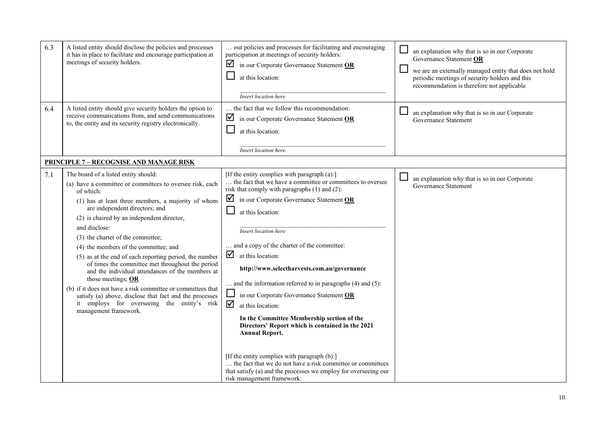| 6.3 | A listed entity should disclose the policies and processes<br>it has in place to facilitate and encourage participation at<br>meetings of security holders.                                                                                                                                                                                                                                                                                                                                                                                                                                                                                                                                                                                    | our policies and processes for facilitating and encouraging<br>participation at meetings of security holders:<br>☑<br>in our Corporate Governance Statement OR<br>at this location:<br>Insert location here                                                                                                                                                                                                                                                                                                                                                                                                                                                                            | an explanation why that is so in our Corporate<br>Governance Statement OR<br>ப<br>we are an externally managed entity that does not hold<br>periodic meetings of security holders and this<br>recommendation is therefore not applicable |
|-----|------------------------------------------------------------------------------------------------------------------------------------------------------------------------------------------------------------------------------------------------------------------------------------------------------------------------------------------------------------------------------------------------------------------------------------------------------------------------------------------------------------------------------------------------------------------------------------------------------------------------------------------------------------------------------------------------------------------------------------------------|----------------------------------------------------------------------------------------------------------------------------------------------------------------------------------------------------------------------------------------------------------------------------------------------------------------------------------------------------------------------------------------------------------------------------------------------------------------------------------------------------------------------------------------------------------------------------------------------------------------------------------------------------------------------------------------|------------------------------------------------------------------------------------------------------------------------------------------------------------------------------------------------------------------------------------------|
| 6.4 | A listed entity should give security holders the option to<br>receive communications from, and send communications<br>to, the entity and its security registry electronically.                                                                                                                                                                                                                                                                                                                                                                                                                                                                                                                                                                 | the fact that we follow this recommendation:<br>$\blacksquare$ in our Corporate Governance Statement OR<br>at this location:<br><b>Insert</b> location here                                                                                                                                                                                                                                                                                                                                                                                                                                                                                                                            | an explanation why that is so in our Corporate<br>Governance Statement                                                                                                                                                                   |
|     | <b>PRINCIPLE 7 - RECOGNISE AND MANAGE RISK</b>                                                                                                                                                                                                                                                                                                                                                                                                                                                                                                                                                                                                                                                                                                 |                                                                                                                                                                                                                                                                                                                                                                                                                                                                                                                                                                                                                                                                                        |                                                                                                                                                                                                                                          |
| 7.1 | The board of a listed entity should:<br>(a) have a committee or committees to oversee risk, each<br>of which:<br>(1) has at least three members, a majority of whom<br>are independent directors; and<br>(2) is chaired by an independent director,<br>and disclose:<br>(3) the charter of the committee;<br>(4) the members of the committee; and<br>(5) as at the end of each reporting period, the number<br>of times the committee met throughout the period<br>and the individual attendances of the members at<br>those meetings; $OR$<br>(b) if it does not have a risk committee or committees that<br>satisfy (a) above, disclose that fact and the processes<br>it employs for overseeing the entity's risk<br>management framework. | [If the entity complies with paragraph (a):]<br>the fact that we have a committee or committees to oversee<br>risk that comply with paragraphs (1) and (2):<br>$\blacksquare$ in our Corporate Governance Statement OR<br>at this location:<br>Insert location here<br>and a copy of the charter of the committee:<br>$\overline{\mathbf{y}}$ at this location:<br>http://www.selectharvests.com.au/governance<br>$\ldots$ and the information referred to in paragraphs (4) and (5):<br>in our Corporate Governance Statement OR<br>☑<br>at this location:<br>In the Committee Membership section of the<br>Directors' Report which is contained in the 2021<br><b>Annual Report.</b> | ⊔<br>an explanation why that is so in our Corporate<br>Governance Statement                                                                                                                                                              |
|     |                                                                                                                                                                                                                                                                                                                                                                                                                                                                                                                                                                                                                                                                                                                                                | [If the entity complies with paragraph (b):]<br>the fact that we do not have a risk committee or committees<br>that satisfy (a) and the processes we employ for overseeing our<br>risk management framework:                                                                                                                                                                                                                                                                                                                                                                                                                                                                           |                                                                                                                                                                                                                                          |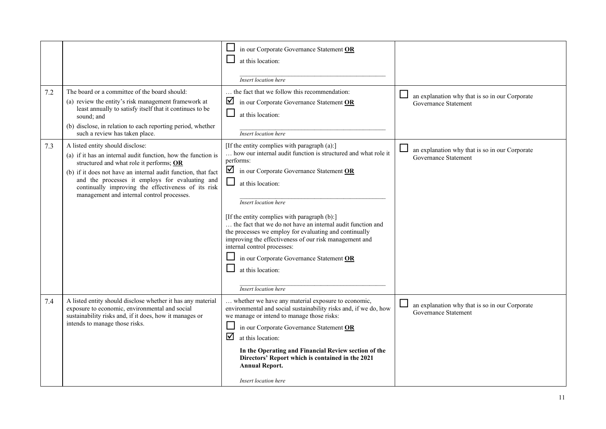| 7.2 | The board or a committee of the board should:<br>(a) review the entity's risk management framework at<br>least annually to satisfy itself that it continues to be<br>sound: and<br>(b) disclose, in relation to each reporting period, whether                                                                                                                                                           | in our Corporate Governance Statement OR<br>at this location:<br>Insert location here<br>the fact that we follow this recommendation:<br>☑<br>in our Corporate Governance Statement OR<br>⊔<br>at this location:                                                                                                                                                                                                                                                                                                                                                                                                              | an explanation why that is so in our Corporate<br>Governance Statement |
|-----|----------------------------------------------------------------------------------------------------------------------------------------------------------------------------------------------------------------------------------------------------------------------------------------------------------------------------------------------------------------------------------------------------------|-------------------------------------------------------------------------------------------------------------------------------------------------------------------------------------------------------------------------------------------------------------------------------------------------------------------------------------------------------------------------------------------------------------------------------------------------------------------------------------------------------------------------------------------------------------------------------------------------------------------------------|------------------------------------------------------------------------|
| 7.3 | such a review has taken place.<br>A listed entity should disclose:<br>(a) if it has an internal audit function, how the function is<br>structured and what role it performs; OR<br>(b) if it does not have an internal audit function, that fact<br>and the processes it employs for evaluating and<br>continually improving the effectiveness of its risk<br>management and internal control processes. | <b>Insert</b> location here<br>[If the entity complies with paragraph (a):]<br>how our internal audit function is structured and what role it<br>performs:<br>☑<br>in our Corporate Governance Statement OR<br>$\Box$<br>at this location:<br>Insert location here<br>[If the entity complies with paragraph (b):]<br>the fact that we do not have an internal audit function and<br>the processes we employ for evaluating and continually<br>improving the effectiveness of our risk management and<br>internal control processes:<br>in our Corporate Governance Statement OR<br>at this location:<br>Insert location here | an explanation why that is so in our Corporate<br>Governance Statement |
| 7.4 | A listed entity should disclose whether it has any material<br>exposure to economic, environmental and social<br>sustainability risks and, if it does, how it manages or<br>intends to manage those risks.                                                                                                                                                                                               | whether we have any material exposure to economic,<br>environmental and social sustainability risks and, if we do, how<br>we manage or intend to manage those risks:<br>in our Corporate Governance Statement OR<br>☑<br>at this location:<br>In the Operating and Financial Review section of the<br>Directors' Report which is contained in the 2021<br><b>Annual Report.</b><br>Insert location here                                                                                                                                                                                                                       | an explanation why that is so in our Corporate<br>Governance Statement |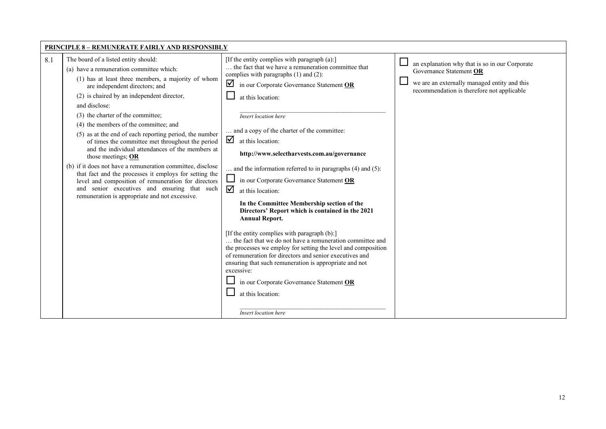| <b>PRINCIPLE 8 - REMUNERATE FAIRLY AND RESPONSIBLY</b>                                                                                                                                                                                                                                                                                                                                                                                                                                                                                                                                                                                                                                                                                                                                                                                                                                                                                                                                                                                                                                                                                                                                                                                                                                                                                                                                                                                                                                                                                                                                                                                                                                                                                                                                                                                                                                                                                                                                                                                                                  |  |  |  |  |  |  |
|-------------------------------------------------------------------------------------------------------------------------------------------------------------------------------------------------------------------------------------------------------------------------------------------------------------------------------------------------------------------------------------------------------------------------------------------------------------------------------------------------------------------------------------------------------------------------------------------------------------------------------------------------------------------------------------------------------------------------------------------------------------------------------------------------------------------------------------------------------------------------------------------------------------------------------------------------------------------------------------------------------------------------------------------------------------------------------------------------------------------------------------------------------------------------------------------------------------------------------------------------------------------------------------------------------------------------------------------------------------------------------------------------------------------------------------------------------------------------------------------------------------------------------------------------------------------------------------------------------------------------------------------------------------------------------------------------------------------------------------------------------------------------------------------------------------------------------------------------------------------------------------------------------------------------------------------------------------------------------------------------------------------------------------------------------------------------|--|--|--|--|--|--|
| 8.1<br>The board of a listed entity should:<br>[If the entity complies with paragraph (a):]<br>⊔<br>an explanation why that is so in our Corporate<br>the fact that we have a remuneration committee that<br>(a) have a remuneration committee which:<br>Governance Statement OR<br>complies with paragraphs (1) and (2):<br>(1) has at least three members, a majority of whom<br>$\overline{\phantom{a}}$<br>we are an externally managed entity and this<br>☑<br>in our Corporate Governance Statement OR<br>are independent directors; and<br>recommendation is therefore not applicable<br>(2) is chaired by an independent director,<br>at this location:<br>and disclose:<br>(3) the charter of the committee;<br>Insert location here<br>(4) the members of the committee; and<br>and a copy of the charter of the committee:<br>(5) as at the end of each reporting period, the number<br>☑<br>at this location:<br>of times the committee met throughout the period<br>and the individual attendances of the members at<br>http://www.selectharvests.com.au/governance<br>those meetings; OR<br>(b) if it does not have a remuneration committee, disclose<br>and the information referred to in paragraphs (4) and (5):<br>that fact and the processes it employs for setting the<br>in our Corporate Governance Statement OR<br>level and composition of remuneration for directors<br>and senior executives and ensuring that such<br>☑<br>at this location:<br>remuneration is appropriate and not excessive.<br>In the Committee Membership section of the<br>Directors' Report which is contained in the 2021<br><b>Annual Report.</b><br>[If the entity complies with paragraph (b):]<br>the fact that we do not have a remuneration committee and<br>the processes we employ for setting the level and composition<br>of remuneration for directors and senior executives and<br>ensuring that such remuneration is appropriate and not<br>excessive:<br>in our Corporate Governance Statement OR<br>at this location:<br><b>Insert location here</b> |  |  |  |  |  |  |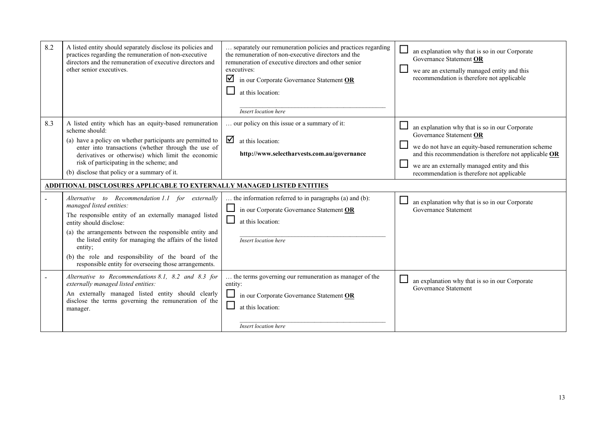| 8.2 | A listed entity should separately disclose its policies and<br>practices regarding the remuneration of non-executive<br>directors and the remuneration of executive directors and<br>other senior executives.                                                                                                                                                                                                       | separately our remuneration policies and practices regarding<br>the remuneration of non-executive directors and the<br>remuneration of executive directors and other senior<br>executives:<br>☑<br>in our Corporate Governance Statement OR<br>at this location:<br>Insert location here | $\Box$<br>an explanation why that is so in our Corporate<br>Governance Statement OR<br>we are an externally managed entity and this<br>recommendation is therefore not applicable                                                                                                       |
|-----|---------------------------------------------------------------------------------------------------------------------------------------------------------------------------------------------------------------------------------------------------------------------------------------------------------------------------------------------------------------------------------------------------------------------|------------------------------------------------------------------------------------------------------------------------------------------------------------------------------------------------------------------------------------------------------------------------------------------|-----------------------------------------------------------------------------------------------------------------------------------------------------------------------------------------------------------------------------------------------------------------------------------------|
| 8.3 | A listed entity which has an equity-based remuneration<br>scheme should:<br>(a) have a policy on whether participants are permitted to<br>enter into transactions (whether through the use of<br>derivatives or otherwise) which limit the economic<br>risk of participating in the scheme; and<br>(b) disclose that policy or a summary of it.                                                                     | our policy on this issue or a summary of it:<br>☑<br>at this location:<br>http://www.selectharvests.com.au/governance                                                                                                                                                                    | an explanation why that is so in our Corporate<br>Governance Statement OR<br>we do not have an equity-based remuneration scheme<br>and this recommendation is therefore not applicable OR<br>we are an externally managed entity and this<br>recommendation is therefore not applicable |
|     | <u>ADDITIONAL DISCLOSURES APPLICABLE TO EXTERNALLY MANAGED LISTED ENTITIES</u>                                                                                                                                                                                                                                                                                                                                      |                                                                                                                                                                                                                                                                                          |                                                                                                                                                                                                                                                                                         |
|     | Alternative to Recommendation 1.1 for externally<br>managed listed entities:<br>The responsible entity of an externally managed listed<br>entity should disclose:<br>(a) the arrangements between the responsible entity and<br>the listed entity for managing the affairs of the listed<br>entity;<br>(b) the role and responsibility of the board of the<br>responsible entity for overseeing those arrangements. | the information referred to in paragraphs (a) and (b):<br>in our Corporate Governance Statement OR<br>at this location:<br>Insert location here                                                                                                                                          | ∟<br>an explanation why that is so in our Corporate<br>Governance Statement                                                                                                                                                                                                             |
|     | Alternative to Recommendations 8.1, 8.2 and 8.3 for<br>externally managed listed entities:<br>An externally managed listed entity should clearly<br>disclose the terms governing the remuneration of the<br>manager.                                                                                                                                                                                                | the terms governing our remuneration as manager of the<br>entity:<br>in our Corporate Governance Statement OR<br>at this location:<br>Insert location here                                                                                                                               | $\Box$<br>an explanation why that is so in our Corporate<br>Governance Statement                                                                                                                                                                                                        |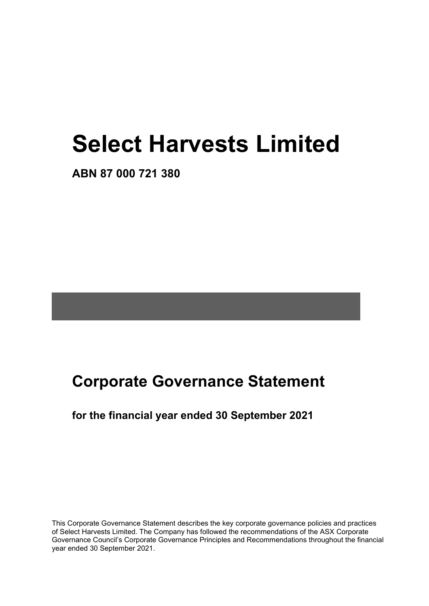# **Select Harvests Limited**

**ABN 87 000 721 380**

# **Corporate Governance Statement**

### **for the financial year ended 30 September 2021**

This Corporate Governance Statement describes the key corporate governance policies and practices of Select Harvests Limited. The Company has followed the recommendations of the ASX Corporate Governance Council's Corporate Governance Principles and Recommendations throughout the financial year ended 30 September 2021.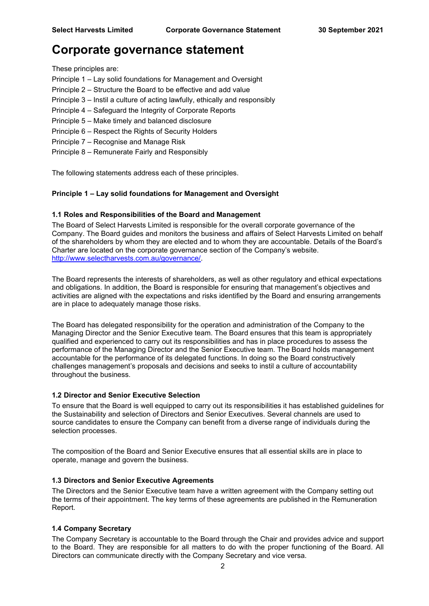These principles are:

- Principle 1 Lay solid foundations for Management and Oversight
- Principle 2 Structure the Board to be effective and add value
- Principle 3 Instil a culture of acting lawfully, ethically and responsibly
- Principle 4 Safeguard the Integrity of Corporate Reports
- Principle 5 Make timely and balanced disclosure
- Principle 6 Respect the Rights of Security Holders
- Principle 7 Recognise and Manage Risk
- Principle 8 Remunerate Fairly and Responsibly

The following statements address each of these principles.

#### **Principle 1 – Lay solid foundations for Management and Oversight**

#### **1.1 Roles and Responsibilities of the Board and Management**

The Board of Select Harvests Limited is responsible for the overall corporate governance of the Company. The Board guides and monitors the business and affairs of Select Harvests Limited on behalf of the shareholders by whom they are elected and to whom they are accountable. Details of the Board's Charter are located on the corporate governance section of the Company's website. [http://www.selectharvests.com.au/governance/.](about:blank)

The Board represents the interests of shareholders, as well as other regulatory and ethical expectations and obligations. In addition, the Board is responsible for ensuring that management's objectives and activities are aligned with the expectations and risks identified by the Board and ensuring arrangements are in place to adequately manage those risks.

The Board has delegated responsibility for the operation and administration of the Company to the Managing Director and the Senior Executive team. The Board ensures that this team is appropriately qualified and experienced to carry out its responsibilities and has in place procedures to assess the performance of the Managing Director and the Senior Executive team. The Board holds management accountable for the performance of its delegated functions. In doing so the Board constructively challenges management's proposals and decisions and seeks to instil a culture of accountability throughout the business.

#### **1.2 Director and Senior Executive Selection**

To ensure that the Board is well equipped to carry out its responsibilities it has established guidelines for the Sustainability and selection of Directors and Senior Executives. Several channels are used to source candidates to ensure the Company can benefit from a diverse range of individuals during the selection processes.

The composition of the Board and Senior Executive ensures that all essential skills are in place to operate, manage and govern the business.

#### **1.3 Directors and Senior Executive Agreements**

The Directors and the Senior Executive team have a written agreement with the Company setting out the terms of their appointment. The key terms of these agreements are published in the Remuneration Report.

#### **1.4 Company Secretary**

The Company Secretary is accountable to the Board through the Chair and provides advice and support to the Board. They are responsible for all matters to do with the proper functioning of the Board. All Directors can communicate directly with the Company Secretary and vice versa.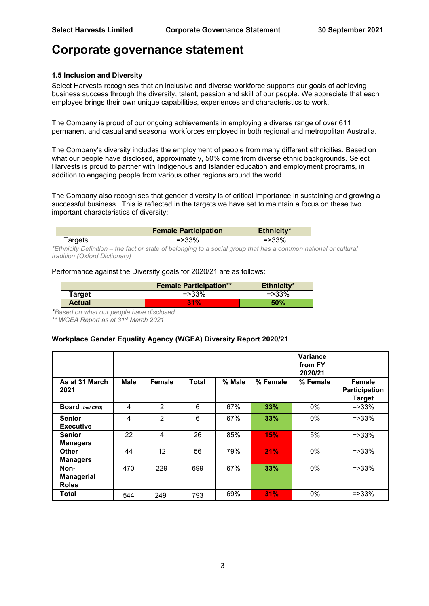#### **1.5 Inclusion and Diversity**

Select Harvests recognises that an inclusive and diverse workforce supports our goals of achieving business success through the diversity, talent, passion and skill of our people. We appreciate that each employee brings their own unique capabilities, experiences and characteristics to work.

The Company is proud of our ongoing achievements in employing a diverse range of over 611 permanent and casual and seasonal workforces employed in both regional and metropolitan Australia.

The Company's diversity includes the employment of people from many different ethnicities. Based on what our people have disclosed, approximately, 50% come from diverse ethnic backgrounds. Select Harvests is proud to partner with Indigenous and Islander education and employment programs, in addition to engaging people from various other regions around the world.

The Company also recognises that gender diversity is of critical importance in sustaining and growing a successful business. This is reflected in the targets we have set to maintain a focus on these two important characteristics of diversity:

|         | <b>Female Participation</b>                                                                                     | Ethnicity* |  |
|---------|-----------------------------------------------------------------------------------------------------------------|------------|--|
| Targets | $=$ > 33%                                                                                                       | $=$ > 33%  |  |
|         | Ethnicity Definition —the fact or state of belonging to a social aroun that has a common nations $\overline{a}$ |            |  |

*\*Ethnicity Definition – the fact or state of belonging to a social group that has a common national or cultural tradition (Oxford Dictionary)*

#### Performance against the Diversity goals for 2020/21 are as follows:

|               | <b>Female Participation**</b> | Ethnicity* |
|---------------|-------------------------------|------------|
| Target        | $=$ > 33%                     | $=$ > 33%  |
| <b>Actual</b> | 31%                           | 50%        |

*\*Based on what our people have disclosed*

*\*\* WGEA Report as at 31st March 2021*

#### **Workplace Gender Equality Agency (WGEA) Diversity Report 2020/21**

|                                           |             |                |              |        |          | Variance<br>from FY<br>2020/21 |                                                 |
|-------------------------------------------|-------------|----------------|--------------|--------|----------|--------------------------------|-------------------------------------------------|
| As at 31 March<br>2021                    | <b>Male</b> | <b>Female</b>  | <b>Total</b> | % Male | % Female | % Female                       | Female<br><b>Participation</b><br><b>Target</b> |
| Board (incl CEO)                          | 4           | $\mathfrak{p}$ | 6            | 67%    | 33%      | $0\%$                          | $=$ > 33%                                       |
| <b>Senior</b><br><b>Executive</b>         | 4           | $\overline{2}$ | 6            | 67%    | 33%      | $0\%$                          | $=$ > 33%                                       |
| <b>Senior</b><br><b>Managers</b>          | 22          | $\overline{4}$ | 26           | 85%    | 15%      | 5%                             | $=$ $>$ 33%                                     |
| <b>Other</b><br><b>Managers</b>           | 44          | 12             | 56           | 79%    | 21%      | 0%                             | $=$ $>$ 33%                                     |
| Non-<br><b>Managerial</b><br><b>Roles</b> | 470         | 229            | 699          | 67%    | 33%      | 0%                             | $=$ $>$ 33%                                     |
| Total                                     | 544         | 249            | 793          | 69%    | 31%      | 0%                             | $=$ > 33%                                       |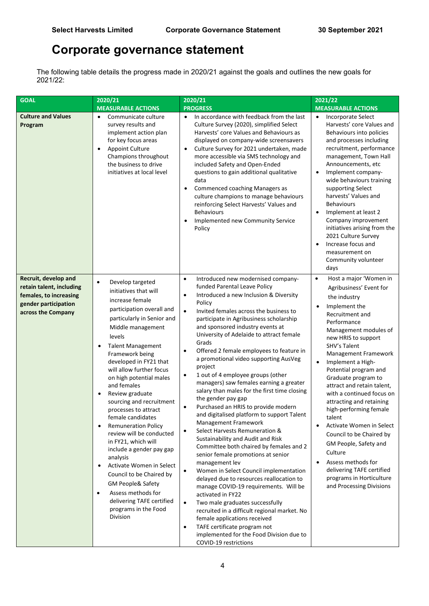The following table details the progress made in 2020/21 against the goals and outlines the new goals for 2021/22:

| <b>GOAL</b>                                                                                                              | 2020/21                                                                                                                                                                                                                                                                                                                                                                                                                                                                                                                                                                                                                                                                                                                                                                         | 2020/21                                                                                                                                                                                                                                                                                                                                                                                                                                                                                                                                                                                                                                                                                                                                                                                                                                                                                                                                                                                                                                                                                                                                                                                                                                                                                                                                    | 2021/22                                                                                                                                                                                                                                                                                                                                                                                                                                                                                                                                                                                                                                       |
|--------------------------------------------------------------------------------------------------------------------------|---------------------------------------------------------------------------------------------------------------------------------------------------------------------------------------------------------------------------------------------------------------------------------------------------------------------------------------------------------------------------------------------------------------------------------------------------------------------------------------------------------------------------------------------------------------------------------------------------------------------------------------------------------------------------------------------------------------------------------------------------------------------------------|--------------------------------------------------------------------------------------------------------------------------------------------------------------------------------------------------------------------------------------------------------------------------------------------------------------------------------------------------------------------------------------------------------------------------------------------------------------------------------------------------------------------------------------------------------------------------------------------------------------------------------------------------------------------------------------------------------------------------------------------------------------------------------------------------------------------------------------------------------------------------------------------------------------------------------------------------------------------------------------------------------------------------------------------------------------------------------------------------------------------------------------------------------------------------------------------------------------------------------------------------------------------------------------------------------------------------------------------|-----------------------------------------------------------------------------------------------------------------------------------------------------------------------------------------------------------------------------------------------------------------------------------------------------------------------------------------------------------------------------------------------------------------------------------------------------------------------------------------------------------------------------------------------------------------------------------------------------------------------------------------------|
| <b>Culture and Values</b><br>Program                                                                                     | <b>MEASURABLE ACTIONS</b><br>Communicate culture<br>٠<br>survey results and<br>implement action plan<br>for key focus areas<br><b>Appoint Culture</b><br>$\bullet$<br>Champions throughout<br>the business to drive<br>initiatives at local level                                                                                                                                                                                                                                                                                                                                                                                                                                                                                                                               | <b>PROGRESS</b><br>In accordance with feedback from the last<br>$\bullet$<br>Culture Survey (2020), simplified Select<br>Harvests' core Values and Behaviours as<br>displayed on company-wide screensavers<br>Culture Survey for 2021 undertaken, made<br>$\bullet$<br>more accessible via SMS technology and<br>included Safety and Open-Ended<br>questions to gain additional qualitative<br>data<br>Commenced coaching Managers as<br>$\bullet$<br>culture champions to manage behaviours<br>reinforcing Select Harvests' Values and<br><b>Behaviours</b><br>Implemented new Community Service<br>Policy                                                                                                                                                                                                                                                                                                                                                                                                                                                                                                                                                                                                                                                                                                                                | <b>MEASURABLE ACTIONS</b><br>Incorporate Select<br>$\bullet$<br>Harvests' core Values and<br>Behaviours into policies<br>and processes including<br>recruitment, performance<br>management, Town Hall<br>Announcements, etc<br>Implement company-<br>$\bullet$<br>wide behaviours training<br>supporting Select<br>harvests' Values and<br><b>Behaviours</b><br>Implement at least 2<br>$\bullet$<br>Company improvement<br>initiatives arising from the<br>2021 Culture Survey<br>Increase focus and<br>$\bullet$<br>measurement on<br>Community volunteer<br>days                                                                           |
| Recruit, develop and<br>retain talent, including<br>females, to increasing<br>gender participation<br>across the Company | Develop targeted<br>$\bullet$<br>initiatives that will<br>increase female<br>participation overall and<br>particularly in Senior and<br>Middle management<br>levels<br><b>Talent Management</b><br>$\bullet$<br>Framework being<br>developed in FY21 that<br>will allow further focus<br>on high potential males<br>and females<br>Review graduate<br>$\bullet$<br>sourcing and recruitment<br>processes to attract<br>female candidates<br><b>Remuneration Policy</b><br>$\bullet$<br>review will be conducted<br>in FY21, which will<br>include a gender pay gap<br>analysis<br>Activate Women in Select<br>٠<br>Council to be Chaired by<br><b>GM People&amp; Safety</b><br>Assess methods for<br>$\bullet$<br>delivering TAFE certified<br>programs in the Food<br>Division | Introduced new modernised company-<br>$\bullet$<br>funded Parental Leave Policy<br>Introduced a new Inclusion & Diversity<br>$\bullet$<br>Policy<br>Invited females across the business to<br>$\bullet$<br>participate in Agribusiness scholarship<br>and sponsored industry events at<br>University of Adelaide to attract female<br>Grads<br>Offered 2 female employees to feature in<br>$\bullet$<br>a promotional video supporting AusVeg<br>project<br>1 out of 4 employee groups (other<br>٠<br>managers) saw females earning a greater<br>salary than males for the first time closing<br>the gender pay gap<br>Purchased an HRIS to provide modern<br>$\bullet$<br>and digitalised platform to support Talent<br>Management Framework<br>Select Harvests Remuneration &<br>Sustainability and Audit and Risk<br>Committee both chaired by females and 2<br>senior female promotions at senior<br>management lev<br>Women in Select Council implementation<br>$\bullet$<br>delayed due to resources reallocation to<br>manage COVID-19 requirements. Will be<br>activated in FY22<br>Two male graduates successfully<br>$\bullet$<br>recruited in a difficult regional market. No<br>female applications received<br>TAFE certificate program not<br>$\bullet$<br>implemented for the Food Division due to<br>COVID-19 restrictions | Host a major 'Women in<br>$\bullet$<br>Agribusiness' Event for<br>the industry<br>Implement the<br>Recruitment and<br>Performance<br>Management modules of<br>new HRIS to support<br>SHV's Talent<br>Management Framework<br>Implement a High-<br>Potential program and<br>Graduate program to<br>attract and retain talent,<br>with a continued focus on<br>attracting and retaining<br>high-performing female<br>talent<br>Activate Women in Select<br>$\bullet$<br>Council to be Chaired by<br>GM People, Safety and<br>Culture<br>Assess methods for<br>delivering TAFE certified<br>programs in Horticulture<br>and Processing Divisions |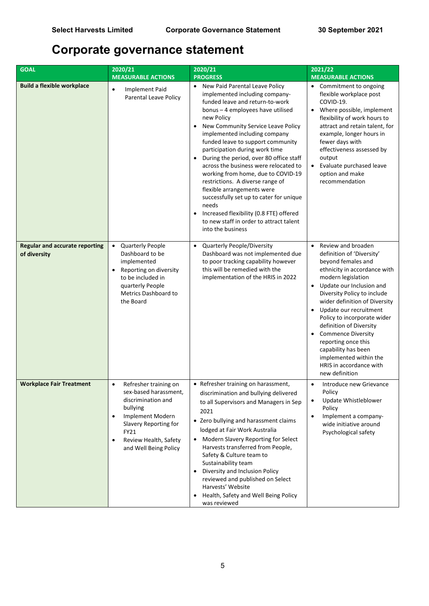| <b>GOAL</b>                                           | 2020/21<br>2020/21                                                                                                                                                                                                             |                                                                                                                                                                                                                                                                                                                                                                                                                                                                                                                                                                                                                                                                                             | 2021/22                                                                                                                                                                                                                                                                                                                                                                                                                                                                                 |  |
|-------------------------------------------------------|--------------------------------------------------------------------------------------------------------------------------------------------------------------------------------------------------------------------------------|---------------------------------------------------------------------------------------------------------------------------------------------------------------------------------------------------------------------------------------------------------------------------------------------------------------------------------------------------------------------------------------------------------------------------------------------------------------------------------------------------------------------------------------------------------------------------------------------------------------------------------------------------------------------------------------------|-----------------------------------------------------------------------------------------------------------------------------------------------------------------------------------------------------------------------------------------------------------------------------------------------------------------------------------------------------------------------------------------------------------------------------------------------------------------------------------------|--|
|                                                       | <b>MEASURABLE ACTIONS</b>                                                                                                                                                                                                      | <b>PROGRESS</b>                                                                                                                                                                                                                                                                                                                                                                                                                                                                                                                                                                                                                                                                             | <b>MEASURABLE ACTIONS</b>                                                                                                                                                                                                                                                                                                                                                                                                                                                               |  |
| <b>Build a flexible workplace</b>                     | <b>Implement Paid</b><br>$\bullet$<br><b>Parental Leave Policy</b>                                                                                                                                                             | • New Paid Parental Leave Policy<br>implemented including company-<br>funded leave and return-to-work<br>bonus - 4 employees have utilised<br>new Policy<br>New Community Service Leave Policy<br>implemented including company<br>funded leave to support community<br>participation during work time<br>During the period, over 80 office staff<br>$\bullet$<br>across the business were relocated to<br>working from home, due to COVID-19<br>restrictions. A diverse range of<br>flexible arrangements were<br>successfully set up to cater for unique<br>needs<br>Increased flexibility (0.8 FTE) offered<br>$\bullet$<br>to new staff in order to attract talent<br>into the business | • Commitment to ongoing<br>flexible workplace post<br>COVID-19.<br>Where possible, implement<br>$\bullet$<br>flexibility of work hours to<br>attract and retain talent, for<br>example, longer hours in<br>fewer days with<br>effectiveness assessed by<br>output<br>Evaluate purchased leave<br>$\bullet$<br>option and make<br>recommendation                                                                                                                                         |  |
| <b>Regular and accurate reporting</b><br>of diversity | <b>Quarterly People</b><br>Dashboard to be<br>implemented<br>Reporting on diversity<br>$\bullet$<br>to be included in<br>quarterly People<br>Metrics Dashboard to<br>the Board                                                 | <b>Quarterly People/Diversity</b><br>$\bullet$<br>Dashboard was not implemented due<br>to poor tracking capability however<br>this will be remedied with the<br>implementation of the HRIS in 2022                                                                                                                                                                                                                                                                                                                                                                                                                                                                                          | Review and broaden<br>$\bullet$<br>definition of 'Diversity'<br>beyond females and<br>ethnicity in accordance with<br>modern legislation<br>Update our Inclusion and<br>$\bullet$<br>Diversity Policy to include<br>wider definition of Diversity<br>Update our recruitment<br>Policy to incorporate wider<br>definition of Diversity<br><b>Commence Diversity</b><br>reporting once this<br>capability has been<br>implemented within the<br>HRIS in accordance with<br>new definition |  |
| <b>Workplace Fair Treatment</b>                       | Refresher training on<br>$\bullet$<br>sex-based harassment,<br>discrimination and<br>bullying<br>Implement Modern<br>$\bullet$<br>Slavery Reporting for<br>FY21<br>Review Health, Safety<br>$\bullet$<br>and Well Being Policy | • Refresher training on harassment,<br>discrimination and bullying delivered<br>to all Supervisors and Managers in Sep<br>2021<br>• Zero bullying and harassment claims<br>lodged at Fair Work Australia<br>Modern Slavery Reporting for Select<br>Harvests transferred from People,<br>Safety & Culture team to<br>Sustainability team<br>Diversity and Inclusion Policy<br>$\bullet$<br>reviewed and published on Select<br>Harvests' Website<br>Health, Safety and Well Being Policy<br>$\bullet$<br>was reviewed                                                                                                                                                                        | Introduce new Grievance<br>$\bullet$<br>Policy<br>Update Whistleblower<br>٠<br>Policy<br>Implement a company-<br>$\bullet$<br>wide initiative around<br>Psychological safety                                                                                                                                                                                                                                                                                                            |  |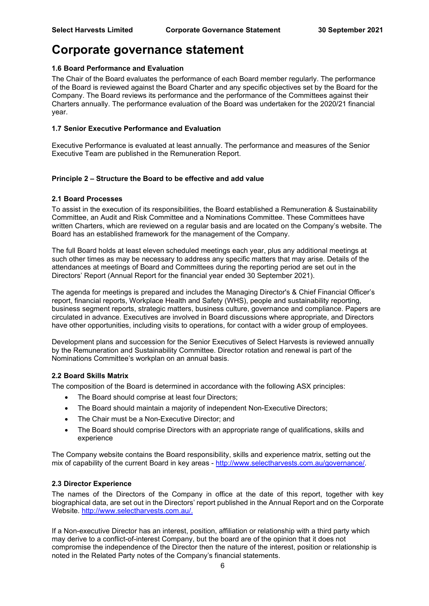#### **1.6 Board Performance and Evaluation**

The Chair of the Board evaluates the performance of each Board member regularly. The performance of the Board is reviewed against the Board Charter and any specific objectives set by the Board for the Company. The Board reviews its performance and the performance of the Committees against their Charters annually. The performance evaluation of the Board was undertaken for the 2020/21 financial year.

#### **1.7 Senior Executive Performance and Evaluation**

Executive Performance is evaluated at least annually. The performance and measures of the Senior Executive Team are published in the Remuneration Report.

#### **Principle 2 – Structure the Board to be effective and add value**

#### **2.1 Board Processes**

To assist in the execution of its responsibilities, the Board established a Remuneration & Sustainability Committee, an Audit and Risk Committee and a Nominations Committee. These Committees have written Charters, which are reviewed on a regular basis and are located on the Company's website. The Board has an established framework for the management of the Company.

The full Board holds at least eleven scheduled meetings each year, plus any additional meetings at such other times as may be necessary to address any specific matters that may arise. Details of the attendances at meetings of Board and Committees during the reporting period are set out in the Directors' Report (Annual Report for the financial year ended 30 September 2021).

The agenda for meetings is prepared and includes the Managing Director's & Chief Financial Officer's report, financial reports, Workplace Health and Safety (WHS), people and sustainability reporting, business segment reports, strategic matters, business culture, governance and compliance. Papers are circulated in advance. Executives are involved in Board discussions where appropriate, and Directors have other opportunities, including visits to operations, for contact with a wider group of employees.

Development plans and succession for the Senior Executives of Select Harvests is reviewed annually by the Remuneration and Sustainability Committee. Director rotation and renewal is part of the Nominations Committee's workplan on an annual basis.

#### **2.2 Board Skills Matrix**

The composition of the Board is determined in accordance with the following ASX principles:

- The Board should comprise at least four Directors;
- The Board should maintain a majority of independent Non-Executive Directors;
- The Chair must be a Non-Executive Director; and
- The Board should comprise Directors with an appropriate range of qualifications, skills and experience

The Company website contains the Board responsibility, skills and experience matrix, setting out the mix of capability of the current Board in key areas - [http://www.selectharvests.com.au/governance/.](about:blank)

#### **2.3 Director Experience**

The names of the Directors of the Company in office at the date of this report, together with key biographical data, are set out in the Directors' report published in the Annual Report and on the Corporate Website. [http://www.selectharvests.com.au/.](about:blank)

If a Non-executive Director has an interest, position, affiliation or relationship with a third party which may derive to a conflict-of-interest Company, but the board are of the opinion that it does not compromise the independence of the Director then the nature of the interest, position or relationship is noted in the Related Party notes of the Company's financial statements.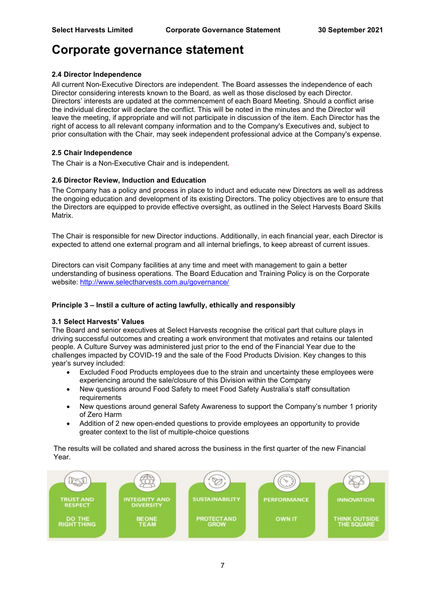#### **2.4 Director Independence**

All current Non-Executive Directors are independent. The Board assesses the independence of each Director considering interests known to the Board, as well as those disclosed by each Director. Directors' interests are updated at the commencement of each Board Meeting. Should a conflict arise the individual director will declare the conflict. This will be noted in the minutes and the Director will leave the meeting, if appropriate and will not participate in discussion of the item. Each Director has the right of access to all relevant company information and to the Company's Executives and, subject to prior consultation with the Chair, may seek independent professional advice at the Company's expense.

#### **2.5 Chair Independence**

The Chair is a Non-Executive Chair and is independent**.** 

#### **2.6 Director Review, Induction and Education**

The Company has a policy and process in place to induct and educate new Directors as well as address the ongoing education and development of its existing Directors. The policy objectives are to ensure that the Directors are equipped to provide effective oversight, as outlined in the Select Harvests Board Skills Matrix.

The Chair is responsible for new Director inductions. Additionally, in each financial year, each Director is expected to attend one external program and all internal briefings, to keep abreast of current issues.

Directors can visit Company facilities at any time and meet with management to gain a better understanding of business operations. The Board Education and Training Policy is on the Corporate website: [http://www.selectharvests.com.au/governance/](about:blank)

#### **Principle 3 – Instil a culture of acting lawfully, ethically and responsibly**

#### **3.1 Select Harvests' Values**

The Board and senior executives at Select Harvests recognise the critical part that culture plays in driving successful outcomes and creating a work environment that motivates and retains our talented people. A Culture Survey was administered just prior to the end of the Financial Year due to the challenges impacted by COVID-19 and the sale of the Food Products Division. Key changes to this year's survey included:

- Excluded Food Products employees due to the strain and uncertainty these employees were experiencing around the sale/closure of this Division within the Company
- New questions around Food Safety to meet Food Safety Australia's staff consultation requirements
- New questions around general Safety Awareness to support the Company's number 1 priority of Zero Harm
- Addition of 2 new open-ended questions to provide employees an opportunity to provide greater context to the list of multiple-choice questions

The results will be collated and shared across the business in the first quarter of the new Financial Year.

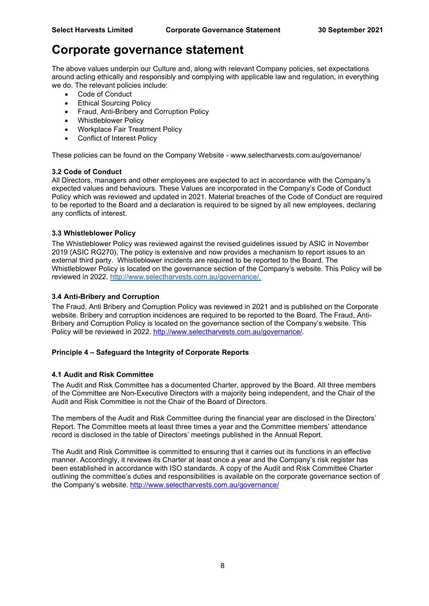The above values underpin our Culture and, along with relevant Company policies, set expectations around acting ethically and responsibly and complying with applicable law and regulation, in everything we do. The relevant policies include:

- Code of Conduct
- **Ethical Sourcing Policy**
- Fraud, Anti-Bribery and Corruption Policy
- Whistleblower Policy
- Workplace Fair Treatment Policy
- Conflict of Interest Policy

These policies can be found on the Company Website - [www.selectharvests.com.au/governance/](about:blank)

#### **3.2 Code of Conduct**

All Directors, managers and other employees are expected to act in accordance with the Company's expected values and behaviours. These Values are incorporated in the Company's Code of Conduct Policy which was reviewed and updated in 2021. Material breaches of the Code of Conduct are required to be reported to the Board and a declaration is required to be signed by all new employees, declaring any conflicts of interest.

#### **3.3 Whistleblower Policy**

The Whistleblower Policy was reviewed against the revised guidelines issued by ASIC in November 2019 (ASIC RG270), The policy is extensive and now provides a mechanism to report issues to an external third party. Whistleblower incidents are required to be reported to the Board. The Whistleblower Policy is located on the governance section of the Company's website. This Policy will be reviewed in 2022. [http://www.selectharvests.com.au/governance/.](about:blank)

#### **3.4 Anti-Bribery and Corruption**

The Fraud, Anti Bribery and Corruption Policy was reviewed in 2021 and is published on the Corporate website. Bribery and corruption incidences are required to be reported to the Board. The Fraud, Anti-Bribery and Corruption Policy is located on the governance section of the Company's website. This Policy will be reviewed in 2022. [http://www.selectharvests.com.au/governance/.](about:blank)

#### **Principle 4 – Safeguard the Integrity of Corporate Reports**

#### **4.1 Audit and Risk Committee**

The Audit and Risk Committee has a documented Charter, approved by the Board. All three members of the Committee are Non-Executive Directors with a majority being independent, and the Chair of the Audit and Risk Committee is not the Chair of the Board of Directors.

The members of the Audit and Risk Committee during the financial year are disclosed in the Directors' Report. The Committee meets at least three times a year and the Committee members' attendance record is disclosed in the table of Directors' meetings published in the Annual Report.

The Audit and Risk Committee is committed to ensuring that it carries out its functions in an effective manner. Accordingly, it reviews its Charter at least once a year and the Company's risk register has been established in accordance with ISO standards. A copy of the Audit and Risk Committee Charter outlining the committee's duties and responsibilities is available on the corporate governance section of the Company's website. [http://www.selectharvests.com.au/governance/](about:blank)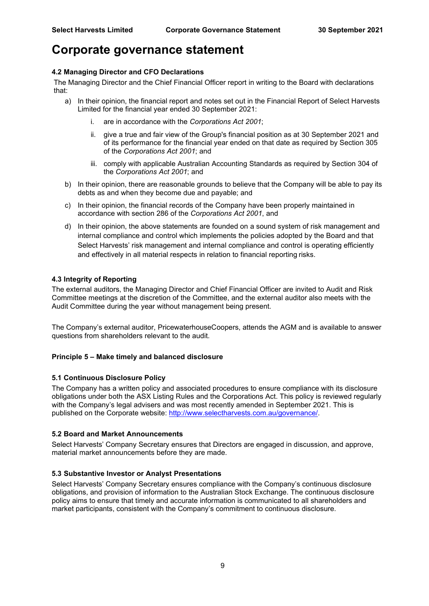#### **4.2 Managing Director and CFO Declarations**

The Managing Director and the Chief Financial Officer report in writing to the Board with declarations that:

- a) In their opinion, the financial report and notes set out in the Financial Report of Select Harvests Limited for the financial year ended 30 September 2021:
	- i. are in accordance with the *Corporations Act 2001*;
	- ii. give a true and fair view of the Group's financial position as at 30 September 2021 and of its performance for the financial year ended on that date as required by Section 305 of the *Corporations Act 2001*; and
	- iii. comply with applicable Australian Accounting Standards as required by Section 304 of the *Corporations Act 2001*; and
- b) In their opinion, there are reasonable grounds to believe that the Company will be able to pay its debts as and when they become due and payable; and
- c) In their opinion, the financial records of the Company have been properly maintained in accordance with section 286 of the *Corporations Act 2001*, and
- d) In their opinion, the above statements are founded on a sound system of risk management and internal compliance and control which implements the policies adopted by the Board and that Select Harvests' risk management and internal compliance and control is operating efficiently and effectively in all material respects in relation to financial reporting risks.

#### **4.3 Integrity of Reporting**

The external auditors, the Managing Director and Chief Financial Officer are invited to Audit and Risk Committee meetings at the discretion of the Committee, and the external auditor also meets with the Audit Committee during the year without management being present.

The Company's external auditor, PricewaterhouseCoopers, attends the AGM and is available to answer questions from shareholders relevant to the audit.

#### **Principle 5 – Make timely and balanced disclosure**

#### **5.1 Continuous Disclosure Policy**

The Company has a written policy and associated procedures to ensure compliance with its disclosure obligations under both the ASX Listing Rules and the Corporations Act. This policy is reviewed regularly with the Company's legal advisers and was most recently amended in September 2021. This is published on the Corporate website: [http://www.selectharvests.com.au/governance/.](about:blank)

#### **5.2 Board and Market Announcements**

Select Harvests' Company Secretary ensures that Directors are engaged in discussion, and approve, material market announcements before they are made.

#### **5.3 Substantive Investor or Analyst Presentations**

Select Harvests' Company Secretary ensures compliance with the Company's continuous disclosure obligations, and provision of information to the Australian Stock Exchange. The continuous disclosure policy aims to ensure that timely and accurate information is communicated to all shareholders and market participants, consistent with the Company's commitment to continuous disclosure.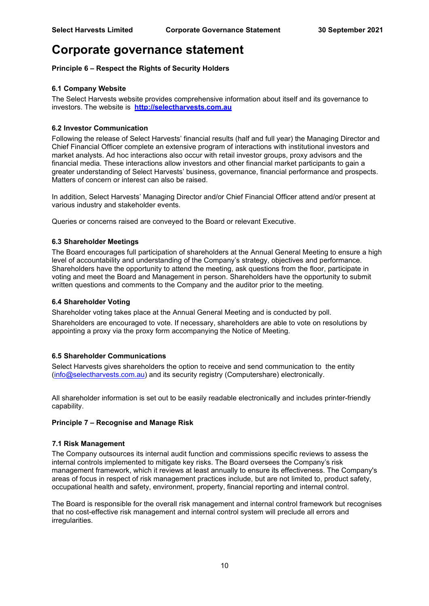#### **Principle 6 – Respect the Rights of Security Holders**

#### **6.1 Company Website**

The Select Harvests website provides comprehensive information about itself and its governance to investors. The website is **[http://selectharvests.com.au](about:blank)**

#### **6.2 Investor Communication**

Following the release of Select Harvests' financial results (half and full year) the Managing Director and Chief Financial Officer complete an extensive program of interactions with institutional investors and market analysts. Ad hoc interactions also occur with retail investor groups, proxy advisors and the financial media. These interactions allow investors and other financial market participants to gain a greater understanding of Select Harvests' business, governance, financial performance and prospects. Matters of concern or interest can also be raised.

In addition, Select Harvests' Managing Director and/or Chief Financial Officer attend and/or present at various industry and stakeholder events.

Queries or concerns raised are conveyed to the Board or relevant Executive.

#### **6.3 Shareholder Meetings**

The Board encourages full participation of shareholders at the Annual General Meeting to ensure a high level of accountability and understanding of the Company's strategy, objectives and performance. Shareholders have the opportunity to attend the meeting, ask questions from the floor, participate in voting and meet the Board and Management in person. Shareholders have the opportunity to submit written questions and comments to the Company and the auditor prior to the meeting.

#### **6.4 Shareholder Voting**

Shareholder voting takes place at the Annual General Meeting and is conducted by poll. Shareholders are encouraged to vote. If necessary, shareholders are able to vote on resolutions by appointing a proxy via the proxy form accompanying the Notice of Meeting.

#### **6.5 Shareholder Communications**

Select Harvests gives shareholders the option to receive and send communication to the entity [\(info@selectharvests.com.au\)](about:blank) and its security registry (Computershare) electronically.

All shareholder information is set out to be easily readable electronically and includes printer-friendly capability.

#### **Principle 7 – Recognise and Manage Risk**

#### **7.1 Risk Management**

The Company outsources its internal audit function and commissions specific reviews to assess the internal controls implemented to mitigate key risks. The Board oversees the Company's risk management framework, which it reviews at least annually to ensure its effectiveness. The Company's areas of focus in respect of risk management practices include, but are not limited to, product safety, occupational health and safety, environment, property, financial reporting and internal control.

The Board is responsible for the overall risk management and internal control framework but recognises that no cost-effective risk management and internal control system will preclude all errors and irregularities.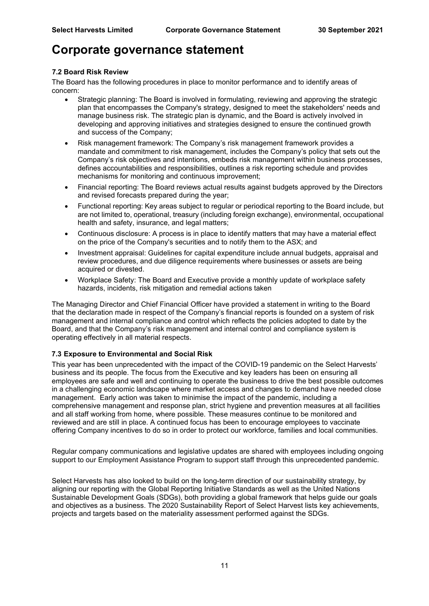#### **7.2 Board Risk Review**

The Board has the following procedures in place to monitor performance and to identify areas of concern:

- Strategic planning: The Board is involved in formulating, reviewing and approving the strategic plan that encompasses the Company's strategy, designed to meet the stakeholders' needs and manage business risk. The strategic plan is dynamic, and the Board is actively involved in developing and approving initiatives and strategies designed to ensure the continued growth and success of the Company;
- Risk management framework: The Company's risk management framework provides a mandate and commitment to risk management, includes the Company's policy that sets out the Company's risk objectives and intentions, embeds risk management within business processes, defines accountabilities and responsibilities, outlines a risk reporting schedule and provides mechanisms for monitoring and continuous improvement;
- Financial reporting: The Board reviews actual results against budgets approved by the Directors and revised forecasts prepared during the year;
- Functional reporting: Key areas subject to regular or periodical reporting to the Board include, but are not limited to, operational, treasury (including foreign exchange), environmental, occupational health and safety, insurance, and legal matters;
- Continuous disclosure: A process is in place to identify matters that may have a material effect on the price of the Company's securities and to notify them to the ASX; and
- Investment appraisal: Guidelines for capital expenditure include annual budgets, appraisal and review procedures, and due diligence requirements where businesses or assets are being acquired or divested.
- Workplace Safety: The Board and Executive provide a monthly update of workplace safety hazards, incidents, risk mitigation and remedial actions taken

The Managing Director and Chief Financial Officer have provided a statement in writing to the Board that the declaration made in respect of the Company's financial reports is founded on a system of risk management and internal compliance and control which reflects the policies adopted to date by the Board, and that the Company's risk management and internal control and compliance system is operating effectively in all material respects.

#### **7.3 Exposure to Environmental and Social Risk**

This year has been unprecedented with the impact of the COVID-19 pandemic on the Select Harvests' business and its people. The focus from the Executive and key leaders has been on ensuring all employees are safe and well and continuing to operate the business to drive the best possible outcomes in a challenging economic landscape where market access and changes to demand have needed close management. Early action was taken to minimise the impact of the pandemic, including a comprehensive management and response plan, strict hygiene and prevention measures at all facilities and all staff working from home, where possible. These measures continue to be monitored and reviewed and are still in place. A continued focus has been to encourage employees to vaccinate offering Company incentives to do so in order to protect our workforce, families and local communities.

Regular company communications and legislative updates are shared with employees including ongoing support to our Employment Assistance Program to support staff through this unprecedented pandemic.

Select Harvests has also looked to build on the long-term direction of our sustainability strategy, by aligning our reporting with the Global Reporting Initiative Standards as well as the United Nations Sustainable Development Goals (SDGs), both providing a global framework that helps guide our goals and objectives as a business. The 2020 Sustainability Report of Select Harvest lists key achievements, projects and targets based on the materiality assessment performed against the SDGs.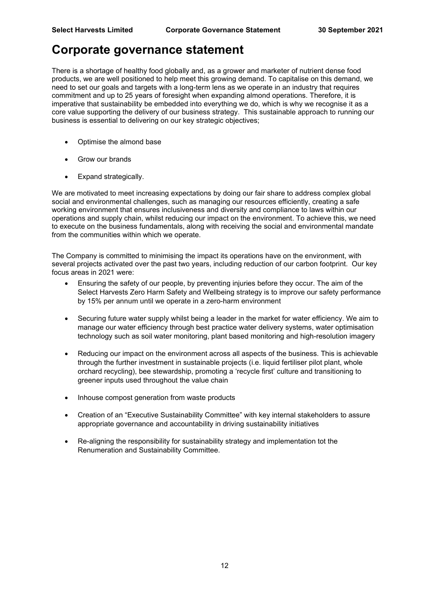There is a shortage of healthy food globally and, as a grower and marketer of nutrient dense food products, we are well positioned to help meet this growing demand. To capitalise on this demand, we need to set our goals and targets with a long-term lens as we operate in an industry that requires commitment and up to 25 years of foresight when expanding almond operations. Therefore, it is imperative that sustainability be embedded into everything we do, which is why we recognise it as a core value supporting the delivery of our business strategy. This sustainable approach to running our business is essential to delivering on our key strategic objectives;

- Optimise the almond base
- Grow our brands
- Expand strategically.

We are motivated to meet increasing expectations by doing our fair share to address complex global social and environmental challenges, such as managing our resources efficiently, creating a safe working environment that ensures inclusiveness and diversity and compliance to laws within our operations and supply chain, whilst reducing our impact on the environment. To achieve this, we need to execute on the business fundamentals, along with receiving the social and environmental mandate from the communities within which we operate.

The Company is committed to minimising the impact its operations have on the environment, with several projects activated over the past two years, including reduction of our carbon footprint. Our key focus areas in 2021 were:

- Ensuring the safety of our people, by preventing injuries before they occur. The aim of the Select Harvests Zero Harm Safety and Wellbeing strategy is to improve our safety performance by 15% per annum until we operate in a zero-harm environment
- Securing future water supply whilst being a leader in the market for water efficiency. We aim to manage our water efficiency through best practice water delivery systems, water optimisation technology such as soil water monitoring, plant based monitoring and high-resolution imagery
- Reducing our impact on the environment across all aspects of the business. This is achievable through the further investment in sustainable projects (i.e. liquid fertiliser pilot plant, whole orchard recycling), bee stewardship, promoting a 'recycle first' culture and transitioning to greener inputs used throughout the value chain
- Inhouse compost generation from waste products
- Creation of an "Executive Sustainability Committee" with key internal stakeholders to assure appropriate governance and accountability in driving sustainability initiatives
- Re-aligning the responsibility for sustainability strategy and implementation tot the Renumeration and Sustainability Committee.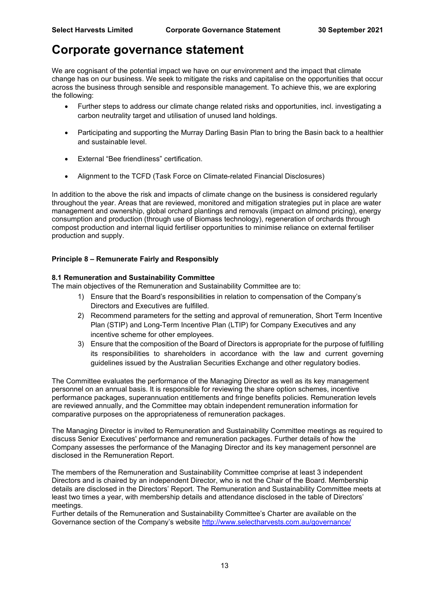We are cognisant of the potential impact we have on our environment and the impact that climate change has on our business. We seek to mitigate the risks and capitalise on the opportunities that occur across the business through sensible and responsible management. To achieve this, we are exploring the following:

- Further steps to address our climate change related risks and opportunities, incl. investigating a carbon neutrality target and utilisation of unused land holdings.
- Participating and supporting the Murray Darling Basin Plan to bring the Basin back to a healthier and sustainable level.
- External "Bee friendliness" certification.
- Alignment to the TCFD (Task Force on Climate-related Financial Disclosures)

In addition to the above the risk and impacts of climate change on the business is considered regularly throughout the year. Areas that are reviewed, monitored and mitigation strategies put in place are water management and ownership, global orchard plantings and removals (impact on almond pricing), energy consumption and production (through use of Biomass technology), regeneration of orchards through compost production and internal liquid fertiliser opportunities to minimise reliance on external fertiliser production and supply.

#### **Principle 8 – Remunerate Fairly and Responsibly**

#### **8.1 Remuneration and Sustainability Committee**

The main objectives of the Remuneration and Sustainability Committee are to:

- 1) Ensure that the Board's responsibilities in relation to compensation of the Company's Directors and Executives are fulfilled.
- 2) Recommend parameters for the setting and approval of remuneration, Short Term Incentive Plan (STIP) and Long-Term Incentive Plan (LTIP) for Company Executives and any incentive scheme for other employees.
- 3) Ensure that the composition of the Board of Directors is appropriate for the purpose of fulfilling its responsibilities to shareholders in accordance with the law and current governing guidelines issued by the Australian Securities Exchange and other regulatory bodies.

The Committee evaluates the performance of the Managing Director as well as its key management personnel on an annual basis. It is responsible for reviewing the share option schemes, incentive performance packages, superannuation entitlements and fringe benefits policies. Remuneration levels are reviewed annually, and the Committee may obtain independent remuneration information for comparative purposes on the appropriateness of remuneration packages.

The Managing Director is invited to Remuneration and Sustainability Committee meetings as required to discuss Senior Executives' performance and remuneration packages. Further details of how the Company assesses the performance of the Managing Director and its key management personnel are disclosed in the Remuneration Report.

The members of the Remuneration and Sustainability Committee comprise at least 3 independent Directors and is chaired by an independent Director, who is not the Chair of the Board. Membership details are disclosed in the Directors' Report. The Remuneration and Sustainability Committee meets at least two times a year, with membership details and attendance disclosed in the table of Directors' meetings.

Further details of the Remuneration and Sustainability Committee's Charter are available on the Governance section of the Company's website [http://www.selectharvests.com.au/governance/](about:blank)